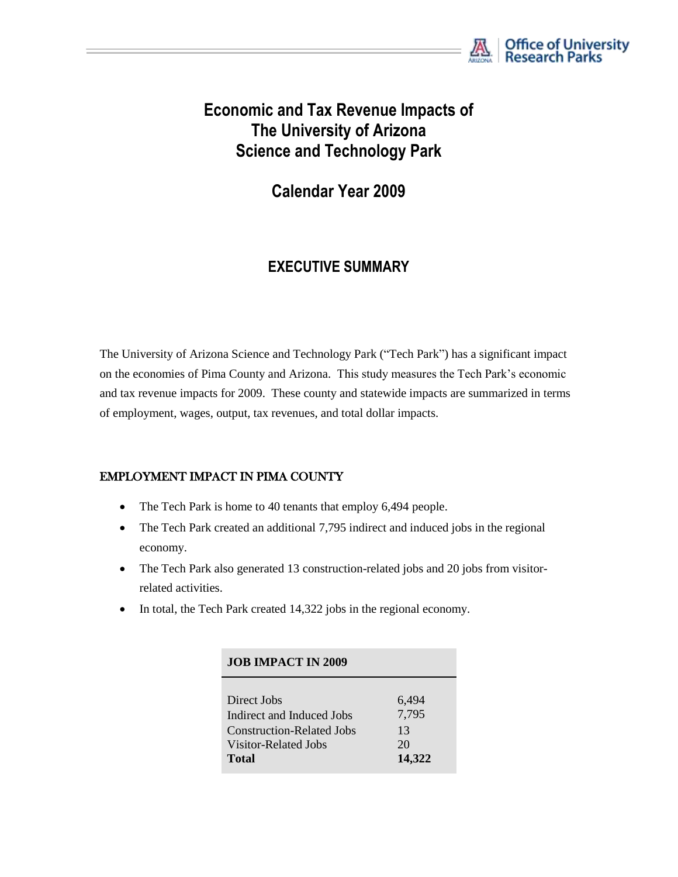

# **Economic and Tax Revenue Impacts of The University of Arizona Science and Technology Park**

**Calendar Year 2009**

## **EXECUTIVE SUMMARY**

The University of Arizona Science and Technology Park ("Tech Park") has a significant impact on the economies of Pima County and Arizona. This study measures the Tech Park's economic and tax revenue impacts for 2009. These county and statewide impacts are summarized in terms of employment, wages, output, tax revenues, and total dollar impacts.

#### EMPLOYMENT IMPACT IN PIMA COUNTY

- The Tech Park is home to 40 tenants that employ 6,494 people.
- The Tech Park created an additional 7,795 indirect and induced jobs in the regional economy.
- The Tech Park also generated 13 construction-related jobs and 20 jobs from visitorrelated activities.
- In total, the Tech Park created 14,322 jobs in the regional economy.

| <b>JOB IMPACT IN 2009</b>        |        |
|----------------------------------|--------|
| Direct Jobs                      | 6,494  |
| Indirect and Induced Jobs        | 7,795  |
| <b>Construction-Related Jobs</b> | 13     |
| Visitor-Related Jobs             | 20     |
| Total                            | 14,322 |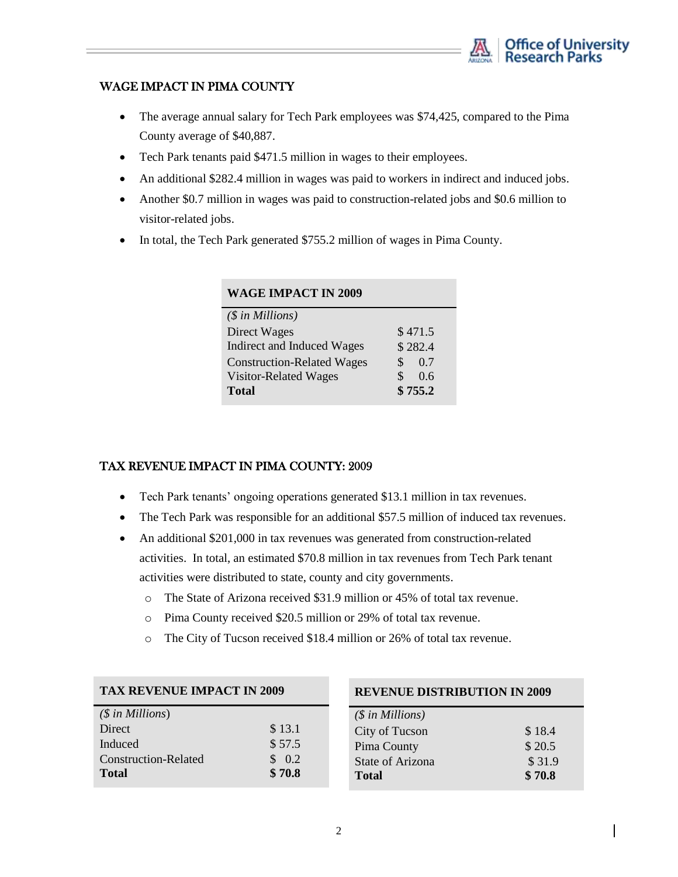

#### WAGE IMPACT IN PIMA COUNTY

- The average annual salary for Tech Park employees was \$74,425, compared to the Pima County average of \$40,887.
- Tech Park tenants paid \$471.5 million in wages to their employees.
- An additional \$282.4 million in wages was paid to workers in indirect and induced jobs.
- Another \$0.7 million in wages was paid to construction-related jobs and \$0.6 million to visitor-related jobs.
- In total, the Tech Park generated \$755.2 million of wages in Pima County.

| <b>WAGE IMPACT IN 2009</b>        |           |
|-----------------------------------|-----------|
| $(\$$ in Millions)                |           |
| Direct Wages                      | \$471.5   |
| Indirect and Induced Wages        | \$282.4   |
| <b>Construction-Related Wages</b> | S.<br>0.7 |
| <b>Visitor-Related Wages</b>      | 0.6       |
| <b>Total</b>                      | \$755.2   |

#### TAX REVENUE IMPACT IN PIMA COUNTY: 2009

- Tech Park tenants' ongoing operations generated \$13.1 million in tax revenues.
- The Tech Park was responsible for an additional \$57.5 million of induced tax revenues.
- An additional \$201,000 in tax revenues was generated from construction-related activities. In total, an estimated \$70.8 million in tax revenues from Tech Park tenant activities were distributed to state, county and city governments.
	- o The State of Arizona received \$31.9 million or 45% of total tax revenue.
	- o Pima County received \$20.5 million or 29% of total tax revenue.
	- o The City of Tucson received \$18.4 million or 26% of total tax revenue.

| $(\$$ in Millions)   |                   |
|----------------------|-------------------|
| Direct               | \$13.1            |
| Induced              | \$57.5            |
| Construction-Related | $\frac{1}{2}$ 0.2 |
| <b>Total</b>         | \$70.8            |

#### **REVENUE DISTRIBUTION IN 2009**

| $(\$$ in Millions) |        |
|--------------------|--------|
| City of Tucson     | \$18.4 |
| Pima County        | \$20.5 |
| State of Arizona   | \$31.9 |
| <b>Total</b>       | \$70.8 |